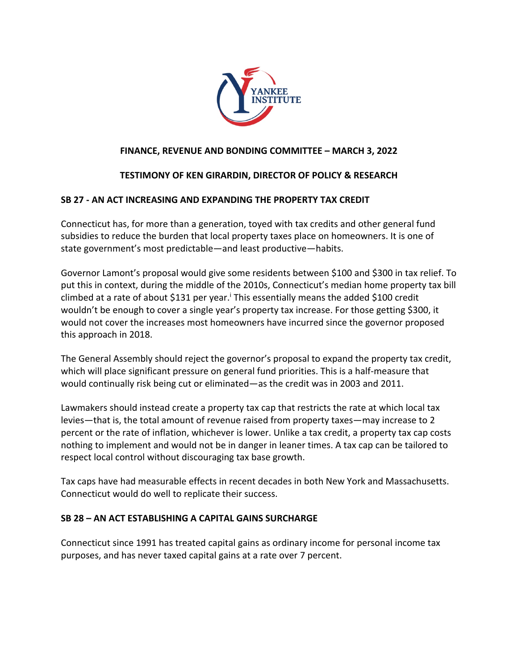

# **FINANCE, REVENUE AND BONDING COMMITTEE – MARCH 3, 2022**

## **TESTIMONY OF KEN GIRARDIN, DIRECTOR OF POLICY & RESEARCH**

## **SB 27 - AN ACT INCREASING AND EXPANDING THE PROPERTY TAX CREDIT**

Connecticut has, for more than a generation, toyed with tax credits and other general fund subsidies to reduce the burden that local property taxes place on homeowners. It is one of state government's most predictable—and least productive—habits.

Governor Lamont's proposal would give some residents between \$100 and \$300 in tax relief. To put this in context, during the middle of the 2010s, Connecticut's median home property tax bill climbed at a rate of about \$131 per year.<sup>i</sup> This essentially means the added \$100 credit wouldn't be enough to cover a single year's property tax increase. For those getting \$300, it would not cover the increases most homeowners have incurred since the governor proposed this approach in 2018.

The General Assembly should reject the governor's proposal to expand the property tax credit, which will place significant pressure on general fund priorities. This is a half-measure that would continually risk being cut or eliminated—as the credit was in 2003 and 2011.

Lawmakers should instead create a property tax cap that restricts the rate at which local tax levies—that is, the total amount of revenue raised from property taxes—may increase to 2 percent or the rate of inflation, whichever is lower. Unlike a tax credit, a property tax cap costs nothing to implement and would not be in danger in leaner times. A tax cap can be tailored to respect local control without discouraging tax base growth.

Tax caps have had measurable effects in recent decades in both New York and Massachusetts. Connecticut would do well to replicate their success.

## **SB 28 – AN ACT ESTABLISHING A CAPITAL GAINS SURCHARGE**

Connecticut since 1991 has treated capital gains as ordinary income for personal income tax purposes, and has never taxed capital gains at a rate over 7 percent.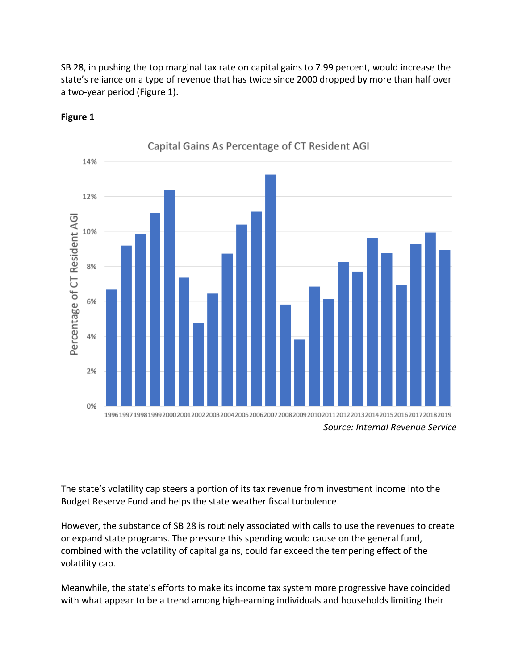SB 28, in pushing the top marginal tax rate on capital gains to 7.99 percent, would increase the state's reliance on a type of revenue that has twice since 2000 dropped by more than half over a two-year period (Figure 1).



**Figure 1**

The state's volatility cap steers a portion of its tax revenue from investment income into the Budget Reserve Fund and helps the state weather fiscal turbulence.

However, the substance of SB 28 is routinely associated with calls to use the revenues to create or expand state programs. The pressure this spending would cause on the general fund, combined with the volatility of capital gains, could far exceed the tempering effect of the volatility cap.

Meanwhile, the state's efforts to make its income tax system more progressive have coincided with what appear to be a trend among high-earning individuals and households limiting their